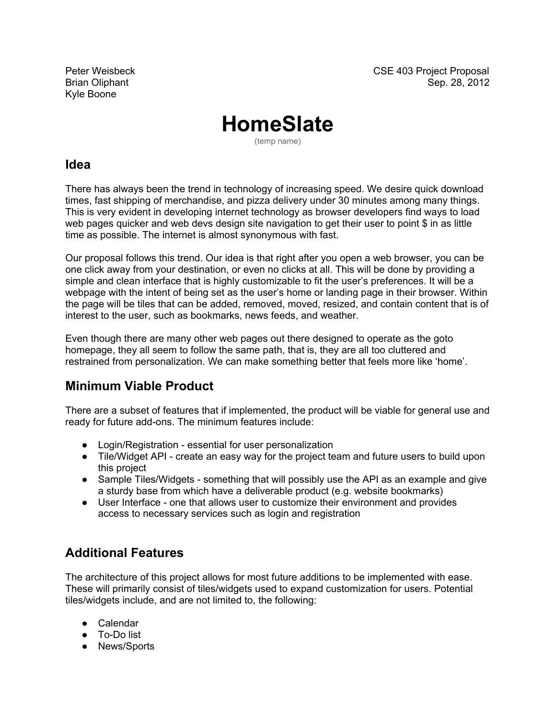Kyle Boone

# **HomeSlate**

(temp name)

#### **Idea**

There has always been the trend in technology of increasing speed. We desire quick download times, fast shipping of merchandise, and pizza delivery under 30 minutes among many things. This is very evident in developing internet technology as browser developers find ways to load web pages quicker and web devs design site navigation to get their user to point \$ in as little time as possible. The internet is almost synonymous with fast.

Our proposal follows this trend. Our idea is that right after you open a web browser, you can be one click away from your destination, or even no clicks at all. This will be done by providing a simple and clean interface that is highly customizable to fit the user's preferences. It will be a webpage with the intent of being set as the user's home or landing page in their browser. Within the page will be tiles that can be added, removed, moved, resized, and contain content that is of interest to the user, such as bookmarks, news feeds, and weather.

Even though there are many other web pages out there designed to operate as the goto homepage, they all seem to follow the same path, that is, they are all too cluttered and restrained from personalization. We can make something better that feels more like 'home'.

#### **Minimum Viable Product**

There are a subset of features that if implemented, the product will be viable for general use and ready for future add-ons. The minimum features include:

- Login/Registration essential for user personalization
- Tile/Widget API create an easy way for the project team and future users to build upon this project
- Sample Tiles/Widgets something that will possibly use the API as an example and give a sturdy base from which have a deliverable product (e.g. website bookmarks)
- User Interface one that allows user to customize their environment and provides access to necessary services such as login and registration

## **Additional Features**

The architecture of this project allows for most future additions to be implemented with ease. These will primarily consist of tiles/widgets used to expand customization for users. Potential tiles/widgets include, and are not limited to, the following:

- Calendar
- To-Do list
- News/Sports